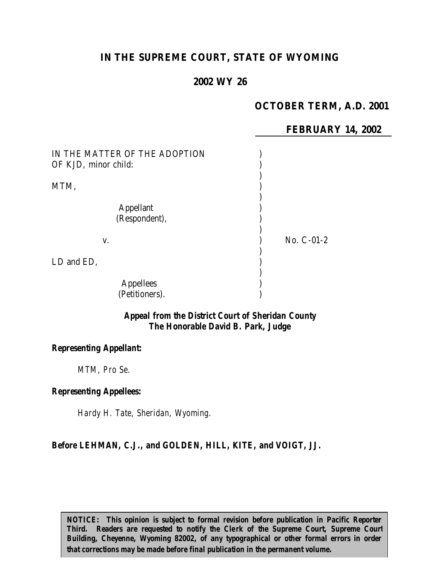# **IN THE SUPREME COURT, STATE OF WYOMING**

# **2002 WY 26**

# **OCTOBER TERM, A.D. 2001**

**FEBRUARY 14, 2002**

| IN THE MATTER OF THE ADOPTION<br>OF KJD, minor child: |              |  |
|-------------------------------------------------------|--------------|--|
| MTM,                                                  |              |  |
| <b>Appellant</b><br>(Respondent),                     |              |  |
| V.                                                    | No. $C-01-2$ |  |
| LD and ED,                                            |              |  |
| <b>Appellees</b><br>(Petitioners).                    |              |  |

### *Appeal from the District Court of Sheridan County The Honorable David B. Park, Judge*

#### *Representing Appellant:*

*MTM, Pro Se.*

### *Representing Appellees:*

*Hardy H. Tate, Sheridan, Wyoming.*

### *Before LEHMAN, C.J., and GOLDEN, HILL, KITE, and VOIGT, JJ.*

*NOTICE: This opinion is subject to formal revision before publication in Pacific Reporter Third. Readers are requested to notify the Clerk of the Supreme Court, Supreme Court Building, Cheyenne, Wyoming 82002, of any typographical or other formal errors in order that corrections may be made before final publication in the permanent volume.*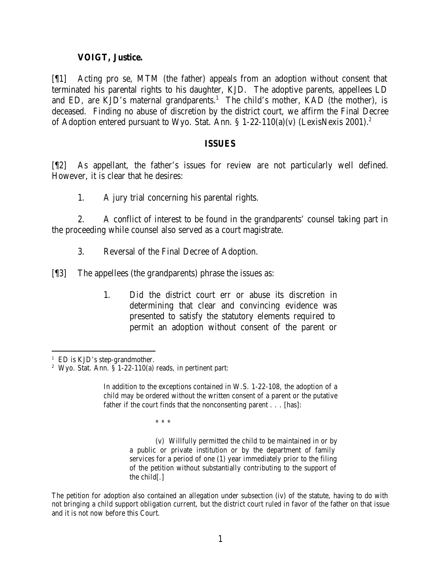### **VOIGT, Justice.**

[¶1] Acting pro se, MTM (the father) appeals from an adoption without consent that terminated his parental rights to his daughter, KJD. The adoptive parents, appellees LD and ED, are KJD's maternal grandparents.<sup>1</sup> The child's mother, KAD (the mother), is deceased. Finding no abuse of discretion by the district court, we affirm the Final Decree of Adoption entered pursuant to Wyo. Stat. Ann.  $\S 1-22-110(a)(v)$  (LexisNexis 2001).<sup>2</sup>

#### **ISSUES**

[¶2] As appellant, the father's issues for review are not particularly well defined. However, it is clear that he desires:

1. A jury trial concerning his parental rights.

2. A conflict of interest to be found in the grandparents' counsel taking part in the proceeding while counsel also served as a court magistrate.

3. Reversal of the Final Decree of Adoption.

[¶3] The appellees (the grandparents) phrase the issues as:

1. Did the district court err or abuse its discretion in determining that clear and convincing evidence was presented to satisfy the statutory elements required to permit an adoption without consent of the parent or

\* \* \*

(v) Willfully permitted the child to be maintained in or by a public or private institution or by the department of family services for a period of one (1) year immediately prior to the filing of the petition without substantially contributing to the support of the child[.]

 <sup>1</sup> ED is KJD's step-grandmother.

<sup>&</sup>lt;sup>2</sup> Wyo. Stat. Ann. § 1-22-110(a) reads, in pertinent part:

In addition to the exceptions contained in W.S. 1-22-108, the adoption of a child may be ordered without the written consent of a parent or the putative father if the court finds that the nonconsenting parent . . . [has]:

The petition for adoption also contained an allegation under subsection (iv) of the statute, having to do with not bringing a child support obligation current, but the district court ruled in favor of the father on that issue and it is not now before this Court.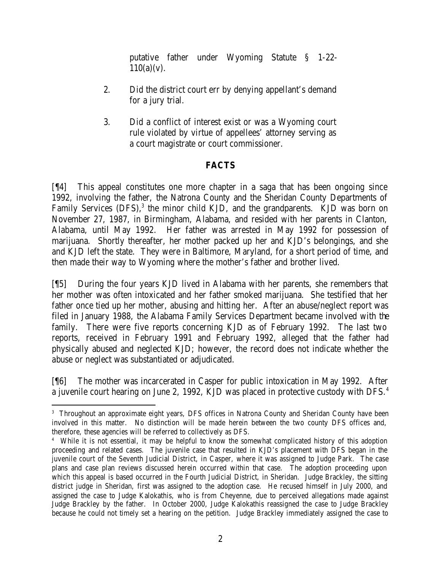putative father under Wyoming Statute § 1-22-  $110(a)(v)$ .

- 2. Did the district court err by denying appellant's demand for a jury trial.
- 3. Did a conflict of interest exist or was a Wyoming court rule violated by virtue of appellees' attorney serving as a court magistrate or court commissioner.

# **FACTS**

[¶4] This appeal constitutes one more chapter in a saga that has been ongoing since 1992, involving the father, the Natrona County and the Sheridan County Departments of Family Services (DFS),<sup>3</sup> the minor child KJD, and the grandparents. KJD was born on November 27, 1987, in Birmingham, Alabama, and resided with her parents in Clanton, Alabama, until May 1992. Her father was arrested in May 1992 for possession of marijuana. Shortly thereafter, her mother packed up her and KJD's belongings, and she and KJD left the state. They were in Baltimore, Maryland, for a short period of time, and then made their way to Wyoming where the mother's father and brother lived.

[¶5] During the four years KJD lived in Alabama with her parents, she remembers that her mother was often intoxicated and her father smoked marijuana. She testified that her father once tied up her mother, abusing and hitting her. After an abuse/neglect report was filed in January 1988, the Alabama Family Services Department became involved with the family. There were five reports concerning KJD as of February 1992. The last two reports, received in February 1991 and February 1992, alleged that the father had physically abused and neglected KJD; however, the record does not indicate whether the abuse or neglect was substantiated or adjudicated.

[¶6] The mother was incarcerated in Casper for public intoxication in May 1992. After a juvenile court hearing on June 2, 1992, KJD was placed in protective custody with DFS.<sup>4</sup>

<sup>3</sup> Throughout an approximate eight years, DFS offices in Natrona County and Sheridan County have been involved in this matter. No distinction will be made herein between the two county DFS offices and, therefore, these agencies will be referred to collectively as DFS.

<sup>4</sup> While it is not essential, it may be helpful to know the somewhat complicated history of this adoption proceeding and related cases. The juvenile case that resulted in KJD's placement with DFS began in the juvenile court of the Seventh Judicial District, in Casper, where it was assigned to Judge Park. The case plans and case plan reviews discussed herein occurred within that case. The adoption proceeding upon which this appeal is based occurred in the Fourth Judicial District, in Sheridan. Judge Brackley, the sitting district judge in Sheridan, first was assigned to the adoption case. He recused himself in July 2000, and assigned the case to Judge Kalokathis, who is from Cheyenne, due to perceived allegations made against Judge Brackley by the father. In October 2000, Judge Kalokathis reassigned the case to Judge Brackley because he could not timely set a hearing on the petition. Judge Brackley immediately assigned the case to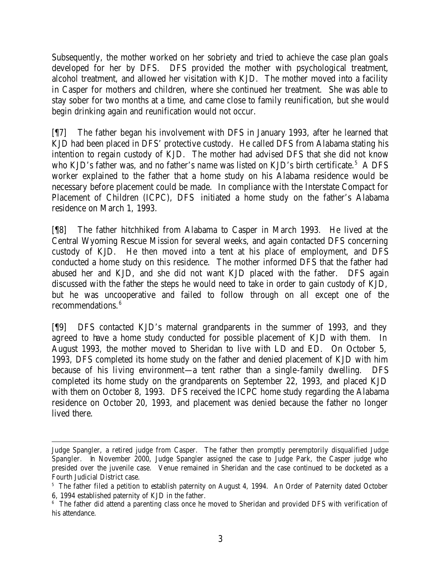Subsequently, the mother worked on her sobriety and tried to achieve the case plan goals developed for her by DFS. DFS provided the mother with psychological treatment, alcohol treatment, and allowed her visitation with KJD. The mother moved into a facility in Casper for mothers and children, where she continued her treatment. She was able to stay sober for two months at a time, and came close to family reunification, but she would begin drinking again and reunification would not occur.

[¶7] The father began his involvement with DFS in January 1993, after he learned that KJD had been placed in DFS' protective custody. He called DFS from Alabama stating his intention to regain custody of KJD. The mother had advised DFS that she did not know who KJD's father was, and no father's name was listed on KJD's birth certificate.<sup>5</sup> A DFS worker explained to the father that a home study on his Alabama residence would be necessary before placement could be made. In compliance with the Interstate Compact for Placement of Children (ICPC), DFS initiated a home study on the father's Alabama residence on March 1, 1993.

[¶8] The father hitchhiked from Alabama to Casper in March 1993. He lived at the Central Wyoming Rescue Mission for several weeks, and again contacted DFS concerning custody of KJD. He then moved into a tent at his place of employment, and DFS conducted a home study on this residence. The mother informed DFS that the father had abused her and KJD, and she did not want KJD placed with the father. DFS again discussed with the father the steps he would need to take in order to gain custody of KJD, but he was uncooperative and failed to follow through on all except one of the recommendations.<sup>6</sup>

[¶9] DFS contacted KJD's maternal grandparents in the summer of 1993, and they agreed to have a home study conducted for possible placement of KJD with them. In August 1993, the mother moved to Sheridan to live with LD and ED. On October 5, 1993, DFS completed its home study on the father and denied placement of KJD with him because of his living environment—a tent rather than a single-family dwelling. DFS completed its home study on the grandparents on September 22, 1993, and placed KJD with them on October 8, 1993. DFS received the ICPC home study regarding the Alabama residence on October 20, 1993, and placement was denied because the father no longer lived there.

Judge Spangler, a retired judge from Casper. The father then promptly peremptorily disqualified Judge Spangler. In November 2000, Judge Spangler assigned the case to Judge Park, the Casper judge who presided over the juvenile case. Venue remained in Sheridan and the case continued to be docketed as a Fourth Judicial District case.

<sup>&</sup>lt;sup>5</sup> The father filed a petition to establish paternity on August 4, 1994. An Order of Paternity dated October 6, 1994 established paternity of KJD in the father.

<sup>&</sup>lt;sup>6</sup> The father did attend a parenting class once he moved to Sheridan and provided DFS with verification of his attendance.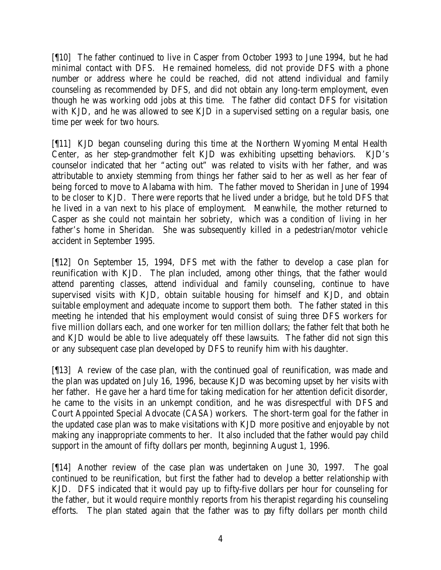[¶10] The father continued to live in Casper from October 1993 to June 1994, but he had minimal contact with DFS. He remained homeless, did not provide DFS with a phone number or address where he could be reached, did not attend individual and family counseling as recommended by DFS, and did not obtain any long-term employment, even though he was working odd jobs at this time. The father did contact DFS for visitation with KJD, and he was allowed to see KJD in a supervised setting on a regular basis, one time per week for two hours.

[¶11] KJD began counseling during this time at the Northern Wyoming Mental Health Center, as her step-grandmother felt KJD was exhibiting upsetting behaviors. KJD's counselor indicated that her "acting out" was related to visits with her father, and was attributable to anxiety stemming from things her father said to her as well as her fear of being forced to move to Alabama with him. The father moved to Sheridan in June of 1994 to be closer to KJD. There were reports that he lived under a bridge, but he told DFS that he lived in a van next to his place of employment. Meanwhile, the mother returned to Casper as she could not maintain her sobriety, which was a condition of living in her father's home in Sheridan. She was subsequently killed in a pedestrian/motor vehicle accident in September 1995.

[¶12] On September 15, 1994, DFS met with the father to develop a case plan for reunification with KJD. The plan included, among other things, that the father would attend parenting classes, attend individual and family counseling, continue to have supervised visits with KJD, obtain suitable housing for himself and KJD, and obtain suitable employment and adequate income to support them both. The father stated in this meeting he intended that his employment would consist of suing three DFS workers for five million dollars each, and one worker for ten million dollars; the father felt that both he and KJD would be able to live adequately off these lawsuits. The father did not sign this or any subsequent case plan developed by DFS to reunify him with his daughter.

[¶13] A review of the case plan, with the continued goal of reunification, was made and the plan was updated on July 16, 1996, because KJD was becoming upset by her visits with her father. He gave her a hard time for taking medication for her attention deficit disorder, he came to the visits in an unkempt condition, and he was disrespectful with DFS and Court Appointed Special Advocate (CASA) workers. The short-term goal for the father in the updated case plan was to make visitations with KJD more positive and enjoyable by not making any inappropriate comments to her. It also included that the father would pay child support in the amount of fifty dollars per month, beginning August 1, 1996.

[¶14] Another review of the case plan was undertaken on June 30, 1997. The goal continued to be reunification, but first the father had to develop a better relationship with KJD. DFS indicated that it would pay up to fifty-five dollars per hour for counseling for the father, but it would require monthly reports from his therapist regarding his counseling efforts. The plan stated again that the father was to pay fifty dollars per month child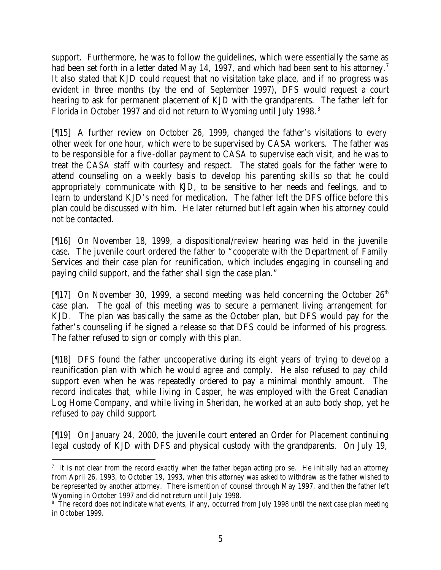support. Furthermore, he was to follow the guidelines, which were essentially the same as had been set forth in a letter dated May 14, 1997, and which had been sent to his attorney.<sup>7</sup> It also stated that KJD could request that no visitation take place, and if no progress was evident in three months (by the end of September 1997), DFS would request a court hearing to ask for permanent placement of KJD with the grandparents. The father left for Florida in October 1997 and did not return to Wyoming until July 1998.<sup>8</sup>

[¶15] A further review on October 26, 1999, changed the father's visitations to every other week for one hour, which were to be supervised by CASA workers. The father was to be responsible for a five -dollar payment to CASA to supervise each visit, and he was to treat the CASA staff with courtesy and respect. The stated goals for the father were to attend counseling on a weekly basis to develop his parenting skills so that he could appropriately communicate with KJD, to be sensitive to her needs and feelings, and to learn to understand KJD's need for medication. The father left the DFS office before this plan could be discussed with him. He later returned but left again when his attorney could not be contacted.

[¶16] On November 18, 1999, a dispositional/review hearing was held in the juvenile case. The juvenile court ordered the father to "cooperate with the Department of Family Services and their case plan for reunification, which includes engaging in counseling and paying child support, and the father shall sign the case plan."

[ $[17]$  On November 30, 1999, a second meeting was held concerning the October  $26<sup>th</sup>$ case plan. The goal of this meeting was to secure a permanent living arrangement for KJD. The plan was basically the same as the October plan, but DFS would pay for the father's counseling if he signed a release so that DFS could be informed of his progress. The father refused to sign or comply with this plan.

[¶18] DFS found the father uncooperative during its eight years of trying to develop a reunification plan with which he would agree and comply. He also refused to pay child support even when he was repeatedly ordered to pay a minimal monthly amount. The record indicates that, while living in Casper, he was employed with the Great Canadian Log Home Company, and while living in Sheridan, he worked at an auto body shop, yet he refused to pay child support.

[¶19] On January 24, 2000, the juvenile court entered an Order for Placement continuing legal custody of KJD with DFS and physical custody with the grandparents. On July 19,

 7 It is not clear from the record exactly when the father began acting pro se. He initially had an attorney from April 26, 1993, to October 19, 1993, when this attorney was asked to withdraw as the father wished to be represented by another attorney. There is mention of counsel through May 1997, and then the father left Wyoming in October 1997 and did not return until July 1998.

<sup>&</sup>lt;sup>8</sup> The record does not indicate what events, if any, occurred from July 1998 until the next case plan meeting in October 1999.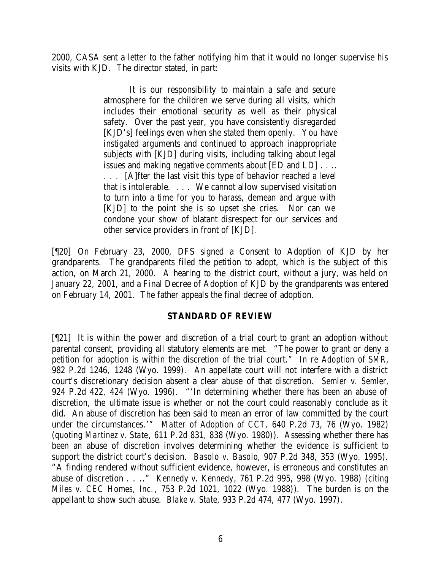2000, CASA sent a letter to the father notifying him that it would no longer supervise his visits with KJD. The director stated, in part:

> It is our responsibility to maintain a safe and secure atmosphere for the children we serve during all visits, which includes their emotional security as well as their physical safety. Over the past year, you have consistently disregarded [KJD's] feelings even when she stated them openly. You have instigated arguments and continued to approach inappropriate subjects with [KJD] during visits, including talking about legal issues and making negative comments about [ED and LD] . . .. . . . [A]fter the last visit this type of behavior reached a level that is intolerable. . . . We cannot allow supervised visitation to turn into a time for you to harass, demean and argue with

> [KJD] to the point she is so upset she cries. Nor can we condone your show of blatant disrespect for our services and other service providers in front of [KJD].

[¶20] On February 23, 2000, DFS signed a Consent to Adoption of KJD by her grandparents. The grandparents filed the petition to adopt, which is the subject of this action, on March 21, 2000. A hearing to the district court, without a jury, was held on January 22, 2001, and a Final Decree of Adoption of KJD by the grandparents was entered on February 14, 2001. The father appeals the final decree of adoption.

## **STANDARD OF REVIEW**

[¶21] It is within the power and discretion of a trial court to grant an adoption without parental consent, providing all statutory elements are met. "The power to grant or deny a petition for adoption is within the discretion of the trial court." *In re Adoption of SMR*, 982 P.2d 1246, 1248 (Wyo. 1999). An appellate court will not interfere with a district court's discretionary decision absent a clear abuse of that discretion. *Semler v. Semler*, 924 P.2d 422, 424 (Wyo. 1996). "'In determining whether there has been an abuse of discretion, the ultimate issue is whether or not the court could reasonably conclude as it did. An abuse of discretion has been said to mean an error of law committed by the court under the circumstances.'" *Matter of Adoption of CCT*, 640 P.2d 73, 76 (Wyo. 1982) (*quoting Martinez v. State*, 611 P.2d 831, 838 (Wyo. 1980)). Assessing whether there has been an abuse of discretion involves determining whether the evidence is sufficient to support the district court's decision. *Basolo v. Basolo*, 907 P.2d 348, 353 (Wyo. 1995). "A finding rendered without sufficient evidence, however, is erroneous and constitutes an abuse of discretion . . .." *Kennedy v. Kennedy*, 761 P.2d 995, 998 (Wyo. 1988) (*citing Miles v. CEC Homes, Inc.*, 753 P.2d 1021, 1022 (Wyo. 1988)). The burden is on the appellant to show such abuse. *Blake v. State*, 933 P.2d 474, 477 (Wyo. 1997).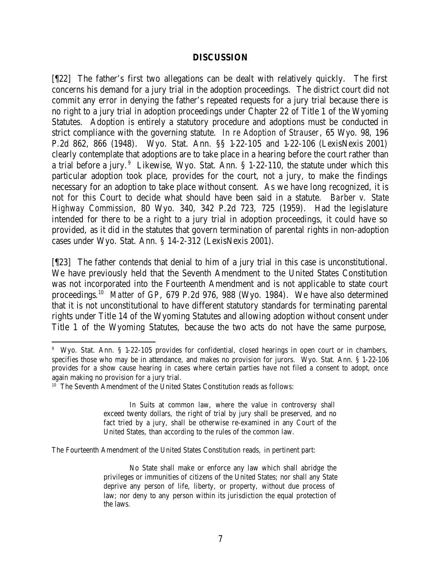#### **DISCUSSION**

[¶22] The father's first two allegations can be dealt with relatively quickly. The first concerns his demand for a jury trial in the adoption proceedings. The district court did not commit any error in denying the father's repeated requests for a jury trial because there is no right to a jury trial in adoption proceedings under Chapter 22 of Title 1 of the Wyoming Statutes. Adoption is entirely a statutory procedure and adoptions must be conducted in strict compliance with the governing statute. *In re Adoption of Strauser*, 65 Wyo. 98, 196 P.2d 862, 866 (1948). Wyo. Stat. Ann. §§ 1-22-105 and 1-22-106 (LexisNexis 2001) clearly contemplate that adoptions are to take place in a hearing before the court rather than a trial before a jury.  $9$  Likewise, Wyo. Stat. Ann. § 1-22-110, the statute under which this particular adoption took place, provides for the court, not a jury, to make the findings necessary for an adoption to take place without consent. As we have long recognized, it is not for this Court to decide what should have been said in a statute. *Barber v. State Highway Commission*, 80 Wyo. 340, 342 P.2d 723, 725 (1959). Had the legislature intended for there to be a right to a jury trial in adoption proceedings, it could have so provided, as it did in the statutes that govern termination of parental rights in non-adoption cases under Wyo. Stat. Ann. § 14-2-312 (LexisNexis 2001).

[¶23] The father contends that denial to him of a jury trial in this case is unconstitutional. We have previously held that the Seventh Amendment to the United States Constitution was not incorporated into the Fourteenth Amendment and is not applicable to state court proceedings.<sup>10</sup> Matter of GP, 679 P.2d 976, 988 (Wyo. 1984). We have also determined that it is not unconstitutional to have different statutory standards for terminating parental rights under Title 14 of the Wyoming Statutes and allowing adoption without consent under Title 1 of the Wyoming Statutes, because the two acts do not have the same purpose,

The Fourteenth Amendment of the United States Constitution reads, in pertinent part:

<sup>9</sup> Wyo. Stat. Ann. § 1-22-105 provides for confidential, closed hearings in open court or in chambers, specifies those who may be in attendance, and makes no provision for jurors. Wyo. Stat. Ann. § 1-22-106 provides for a show cause hearing in cases where certain parties have not filed a consent to adopt, once again making no provision for a jury trial.

<sup>&</sup>lt;sup>10</sup> The Seventh Amendment of the United States Constitution reads as follows:

In Suits at common law, where the value in controversy shall exceed twenty dollars, the right of trial by jury shall be preserved, and no fact tried by a jury, shall be otherwise re-examined in any Court of the United States, than according to the rules of the common law.

No State shall make or enforce any law which shall abridge the privileges or immunities of citizens of the United States; nor shall any State deprive any person of life, liberty, or property, without due process of law; nor deny to any person within its jurisdiction the equal protection of the laws.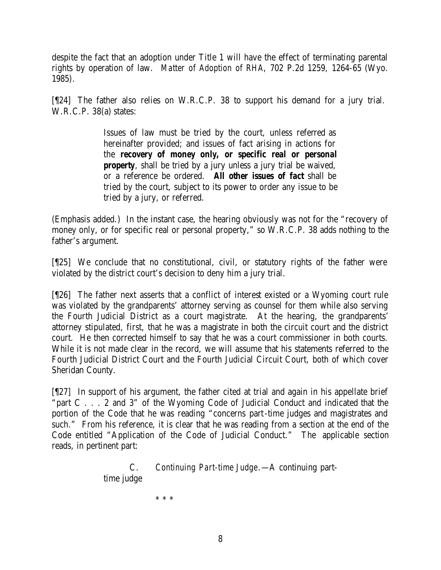despite the fact that an adoption under Title 1 will have the effect of terminating parental rights by operation of law. *Matter of Adoption of RHA*, 702 P.2d 1259, 1264-65 (Wyo. 1985).

[¶24] The father also relies on W.R.C.P. 38 to support his demand for a jury trial. W.R.C.P. 38(a) states:

> Issues of law must be tried by the court, unless referred as hereinafter provided; and issues of fact arising in actions for the *recovery of money only, or specific real or personal property*, shall be tried by a jury unless a jury trial be waived, or a reference be ordered. *All other issues of fact* shall be tried by the court, subject to its power to order any issue to be tried by a jury, or referred.

(Emphasis added.) In the instant case, the hearing obviously was not for the "recovery of money only, or for specific real or personal property," so W.R.C.P. 38 adds nothing to the father's argument.

[¶25] We conclude that no constitutional, civil, or statutory rights of the father were violated by the district court's decision to deny him a jury trial.

[¶26] The father next asserts that a conflict of interest existed or a Wyoming court rule was violated by the grandparents' attorney serving as counsel for them while also serving the Fourth Judicial District as a court magistrate. At the hearing, the grandparents' attorney stipulated, first, that he was a magistrate in both the circuit court and the district court. He then corrected himself to say that he was a court commissioner in both courts. While it is not made clear in the record, we will assume that his statements referred to the Fourth Judicial District Court and the Fourth Judicial Circuit Court, both of which cover Sheridan County.

[¶27] In support of his argument, the father cited at trial and again in his appellate brief "part C . . . 2 and 3" of the Wyoming Code of Judicial Conduct and indicated that the portion of the Code that he was reading "concerns part-time judges and magistrates and such." From his reference, it is clear that he was reading from a section at the end of the Code entitled "Application of the Code of Judicial Conduct." The applicable section reads, in pertinent part:

> C. *Continuing Part-time Judge*.—A continuing parttime judge

> > \* \* \*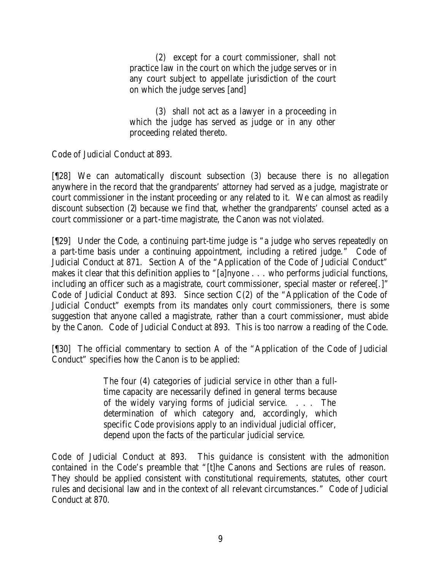(2) except for a court commissioner, shall not practice law in the court on which the judge serves or in any court subject to appellate jurisdiction of the court on which the judge serves [and]

(3) shall not act as a lawyer in a proceeding in which the judge has served as judge or in any other proceeding related thereto.

Code of Judicial Conduct at 893.

[¶28] We can automatically discount subsection (3) because there is no allegation anywhere in the record that the grandparents' attorney had served as a judge, magistrate or court commissioner in the instant proceeding or any related to it. We can almost as readily discount subsection (2) because we find that, whether the grandparents' counsel acted as a court commissioner or a part-time magistrate, the Canon was not violated.

[¶29] Under the Code, a continuing part-time judge is "a judge who serves repeatedly on a part-time basis under a continuing appointment, including a retired judge." Code of Judicial Conduct at 871. Section A of the "Application of the Code of Judicial Conduct" makes it clear that this definition applies to "[a]nyone . . . who performs judicial functions, including an officer such as a magistrate, court commissioner, special master or referee[.]" Code of Judicial Conduct at 893. Since section C(2) of the "Application of the Code of Judicial Conduct" exempts from its mandates only court commissioners, there is some suggestion that anyone called a magistrate, rather than a court commissioner, must abide by the Canon. Code of Judicial Conduct at 893. This is too narrow a reading of the Code.

[¶30] The official commentary to section A of the "Application of the Code of Judicial Conduct" specifies how the Canon is to be applied:

> The four (4) categories of judicial service in other than a fulltime capacity are necessarily defined in general terms because of the widely varying forms of judicial service. . . . The determination of which category and, accordingly, which specific Code provisions apply to an individual judicial officer, depend upon the facts of the particular judicial service.

Code of Judicial Conduct at 893. This guidance is consistent with the admonition contained in the Code's preamble that "[t]he Canons and Sections are rules of reason. They should be applied consistent with constitutional requirements, statutes, other court rules and decisional law and in the context of all relevant circumstances." Code of Judicial Conduct at 870.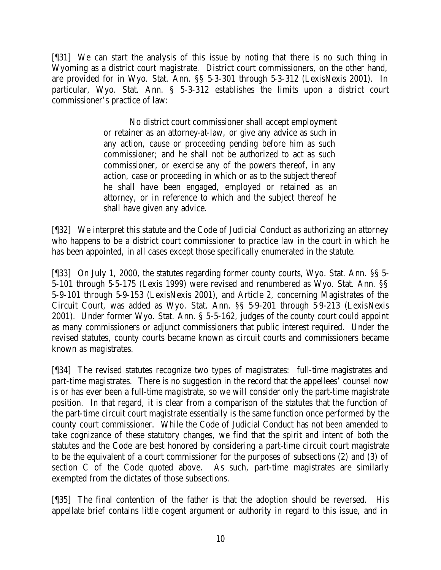[¶31] We can start the analysis of this issue by noting that there is no such thing in Wyoming as a district court magistrate. District court commissioners, on the other hand, are provided for in Wyo. Stat. Ann. §§ 5-3-301 through 5-3-312 (LexisNexis 2001). In particular, Wyo. Stat. Ann. § 5-3-312 establishes the limits upon a district court commissioner's practice of law:

> No district court commissioner shall accept employment or retainer as an attorney-at-law, or give any advice as such in any action, cause or proceeding pending before him as such commissioner; and he shall not be authorized to act as such commissioner, or exercise any of the powers thereof, in any action, case or proceeding in which or as to the subject thereof he shall have been engaged, employed or retained as an attorney, or in reference to which and the subject thereof he shall have given any advice.

[¶32] We interpret this statute and the Code of Judicial Conduct as authorizing an attorney who happens to be a district court commissioner to practice law in the court in which he has been appointed, in all cases except those specifically enumerated in the statute.

[¶33] On July 1, 2000, the statutes regarding former county courts, Wyo. Stat. Ann. §§ 5- 5-101 through 5-5-175 (Lexis 1999) were revised and renumbered as Wyo. Stat. Ann. §§ 5-9-101 through 5-9-153 (LexisNexis 2001), and Article 2, concerning Magistrates of the Circuit Court, was added as Wyo. Stat. Ann. §§ 5-9-201 through 5-9-213 (LexisNexis 2001). Under former Wyo. Stat. Ann. § 5-5-162, judges of the county court could appoint as many commissioners or adjunct commissioners that public interest required. Under the revised statutes, county courts became known as circuit courts and commissioners became known as magistrates.

[¶34] The revised statutes recognize two types of magistrates: full-time magistrates and part-time magistrates. There is no suggestion in the record that the appellees' counsel now is or has ever been a full-time magistrate, so we will consider only the part-time magistrate position. In that regard, it is clear from a comparison of the statutes that the function of the part-time circuit court magistrate essentially is the same function once performed by the county court commissioner. While the Code of Judicial Conduct has not been amended to take cognizance of these statutory changes, we find that the spirit and intent of both the statutes and the Code are best honored by considering a part-time circuit court magistrate to be the equivalent of a court commissioner for the purposes of subsections (2) and (3) of section C of the Code quoted above. As such, part-time magistrates are similarly exempted from the dictates of those subsections.

[¶35] The final contention of the father is that the adoption should be reversed. His appellate brief contains little cogent argument or authority in regard to this issue, and in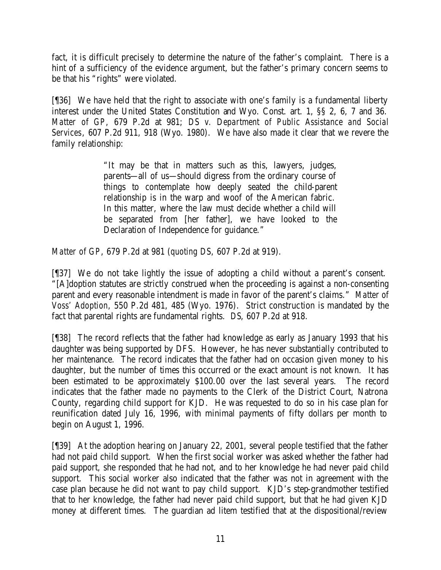fact, it is difficult precisely to determine the nature of the father's complaint. There is a hint of a sufficiency of the evidence argument, but the father's primary concern seems to be that his "rights" were violated.

[¶36] We have held that the right to associate with one's family is a fundamental liberty interest under the United States Constitution and Wyo. Const. art. 1, §§ 2, 6, 7 and 36. *Matter of GP*, 679 P.2d at 981; *DS v. Department of Public Assistance and Social Services*, 607 P.2d 911, 918 (Wyo. 1980). We have also made it clear that we revere the family relationship:

> "It may be that in matters such as this, lawyers, judges, parents—all of us—should digress from the ordinary course of things to contemplate how deeply seated the child-parent relationship is in the warp and woof of the American fabric. In this matter, where the law must decide whether a child will be separated from [her father], we have looked to the Declaration of Independence for guidance."

*Matter of GP*, 679 P.2d at 981 (*quoting DS*, 607 P.2d at 919).

[¶37] We do not take lightly the issue of adopting a child without a parent's consent. "[A]doption statutes are strictly construed when the proceeding is against a non-consenting parent and every reasonable intendment is made in favor of the parent's claims." *Matter of Voss' Adoption*, 550 P.2d 481, 485 (Wyo. 1976). Strict construction is mandated by the fact that parental rights are fundamental rights. *DS*, 607 P.2d at 918.

[¶38] The record reflects that the father had knowledge as early as January 1993 that his daughter was being supported by DFS. However, he has never substantially contributed to her maintenance. The record indicates that the father had on occasion given money to his daughter, but the number of times this occurred or the exact amount is not known. It has been estimated to be approximately \$100.00 over the last several years. The record indicates that the father made no payments to the Clerk of the District Court, Natrona County, regarding child support for KJD. He was requested to do so in his case plan for reunification dated July 16, 1996, with minimal payments of fifty dollars per month to begin on August 1, 1996.

[¶39] At the adoption hearing on January 22, 2001, several people testified that the father had not paid child support. When the first social worker was asked whether the father had paid support, she responded that he had not, and to her knowledge he had never paid child support. This social worker also indicated that the father was not in agreement with the case plan because he did not want to pay child support. KJD's step-grandmother testified that to her knowledge, the father had never paid child support, but that he had given KJD money at different times. The guardian ad litem testified that at the dispositional/review